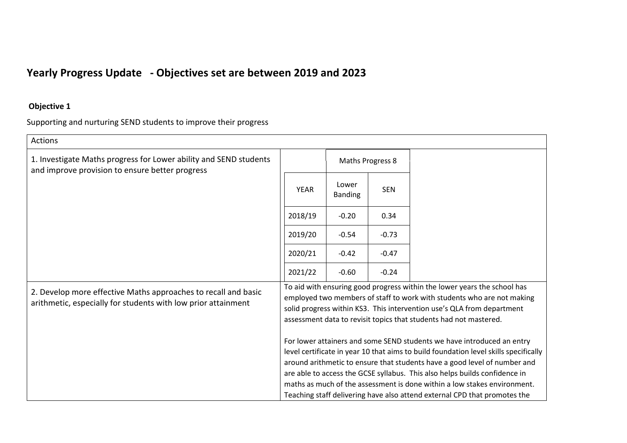## **Yearly Progress Update - Objectives set are between 2019 and 2023**

## **Objective 1**

Supporting and nurturing SEND students to improve their progress

| <b>Actions</b>                                                                                                                  |                                                                                                                                                                                                                                                                                                                                                                                                                                                                                    |                         |                  |  |  |  |
|---------------------------------------------------------------------------------------------------------------------------------|------------------------------------------------------------------------------------------------------------------------------------------------------------------------------------------------------------------------------------------------------------------------------------------------------------------------------------------------------------------------------------------------------------------------------------------------------------------------------------|-------------------------|------------------|--|--|--|
| 1. Investigate Maths progress for Lower ability and SEND students<br>and improve provision to ensure better progress            |                                                                                                                                                                                                                                                                                                                                                                                                                                                                                    |                         | Maths Progress 8 |  |  |  |
|                                                                                                                                 | <b>YEAR</b>                                                                                                                                                                                                                                                                                                                                                                                                                                                                        | Lower<br><b>Banding</b> | <b>SEN</b>       |  |  |  |
|                                                                                                                                 | 2018/19                                                                                                                                                                                                                                                                                                                                                                                                                                                                            | $-0.20$                 | 0.34             |  |  |  |
|                                                                                                                                 | 2019/20                                                                                                                                                                                                                                                                                                                                                                                                                                                                            | $-0.54$                 | $-0.73$          |  |  |  |
|                                                                                                                                 |                                                                                                                                                                                                                                                                                                                                                                                                                                                                                    | $-0.42$                 | $-0.47$          |  |  |  |
|                                                                                                                                 | 2021/22                                                                                                                                                                                                                                                                                                                                                                                                                                                                            | $-0.60$                 | $-0.24$          |  |  |  |
| 2. Develop more effective Maths approaches to recall and basic<br>arithmetic, especially for students with low prior attainment | To aid with ensuring good progress within the lower years the school has<br>employed two members of staff to work with students who are not making<br>solid progress within KS3. This intervention use's QLA from department<br>assessment data to revisit topics that students had not mastered.                                                                                                                                                                                  |                         |                  |  |  |  |
|                                                                                                                                 | For lower attainers and some SEND students we have introduced an entry<br>level certificate in year 10 that aims to build foundation level skills specifically<br>around arithmetic to ensure that students have a good level of number and<br>are able to access the GCSE syllabus. This also helps builds confidence in<br>maths as much of the assessment is done within a low stakes environment.<br>Teaching staff delivering have also attend external CPD that promotes the |                         |                  |  |  |  |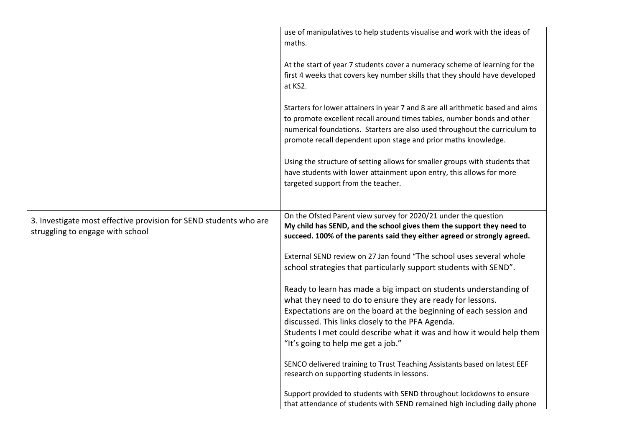|                                                                                                       | use of manipulatives to help students visualise and work with the ideas of<br>maths.                                                                                                                                                                                                                                                                                    |
|-------------------------------------------------------------------------------------------------------|-------------------------------------------------------------------------------------------------------------------------------------------------------------------------------------------------------------------------------------------------------------------------------------------------------------------------------------------------------------------------|
|                                                                                                       | At the start of year 7 students cover a numeracy scheme of learning for the<br>first 4 weeks that covers key number skills that they should have developed<br>at KS2.                                                                                                                                                                                                   |
|                                                                                                       | Starters for lower attainers in year 7 and 8 are all arithmetic based and aims<br>to promote excellent recall around times tables, number bonds and other<br>numerical foundations. Starters are also used throughout the curriculum to<br>promote recall dependent upon stage and prior maths knowledge.                                                               |
|                                                                                                       | Using the structure of setting allows for smaller groups with students that<br>have students with lower attainment upon entry, this allows for more<br>targeted support from the teacher.                                                                                                                                                                               |
| 3. Investigate most effective provision for SEND students who are<br>struggling to engage with school | On the Ofsted Parent view survey for 2020/21 under the question<br>My child has SEND, and the school gives them the support they need to<br>succeed. 100% of the parents said they either agreed or strongly agreed.                                                                                                                                                    |
|                                                                                                       | External SEND review on 27 Jan found "The school uses several whole<br>school strategies that particularly support students with SEND".                                                                                                                                                                                                                                 |
|                                                                                                       | Ready to learn has made a big impact on students understanding of<br>what they need to do to ensure they are ready for lessons.<br>Expectations are on the board at the beginning of each session and<br>discussed. This links closely to the PFA Agenda.<br>Students I met could describe what it was and how it would help them<br>"It's going to help me get a job." |
|                                                                                                       | SENCO delivered training to Trust Teaching Assistants based on latest EEF<br>research on supporting students in lessons.                                                                                                                                                                                                                                                |
|                                                                                                       | Support provided to students with SEND throughout lockdowns to ensure<br>that attendance of students with SEND remained high including daily phone                                                                                                                                                                                                                      |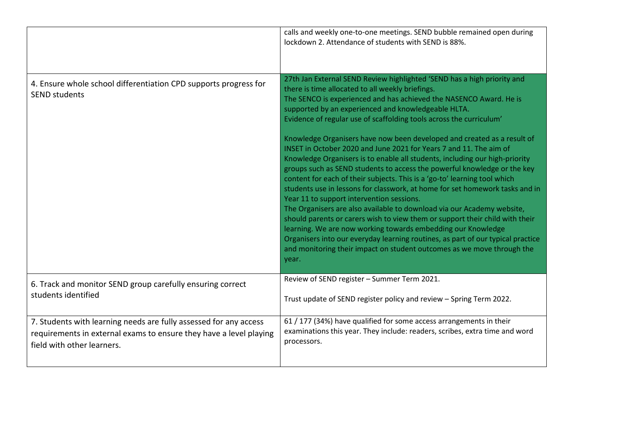|                                                                                          | calls and weekly one-to-one meetings. SEND bubble remained open during<br>lockdown 2. Attendance of students with SEND is 88%.                                                                                                                                                                                                                                                                                                                                                                                                                                                                                                                                                                                                                                                                                                                                                                                                                                                                                                                                                                                                                                                                                                                        |
|------------------------------------------------------------------------------------------|-------------------------------------------------------------------------------------------------------------------------------------------------------------------------------------------------------------------------------------------------------------------------------------------------------------------------------------------------------------------------------------------------------------------------------------------------------------------------------------------------------------------------------------------------------------------------------------------------------------------------------------------------------------------------------------------------------------------------------------------------------------------------------------------------------------------------------------------------------------------------------------------------------------------------------------------------------------------------------------------------------------------------------------------------------------------------------------------------------------------------------------------------------------------------------------------------------------------------------------------------------|
| 4. Ensure whole school differentiation CPD supports progress for<br><b>SEND students</b> | 27th Jan External SEND Review highlighted 'SEND has a high priority and<br>there is time allocated to all weekly briefings.<br>The SENCO is experienced and has achieved the NASENCO Award. He is<br>supported by an experienced and knowledgeable HLTA.<br>Evidence of regular use of scaffolding tools across the curriculum'<br>Knowledge Organisers have now been developed and created as a result of<br>INSET in October 2020 and June 2021 for Years 7 and 11. The aim of<br>Knowledge Organisers is to enable all students, including our high-priority<br>groups such as SEND students to access the powerful knowledge or the key<br>content for each of their subjects. This is a 'go-to' learning tool which<br>students use in lessons for classwork, at home for set homework tasks and in<br>Year 11 to support intervention sessions.<br>The Organisers are also available to download via our Academy website,<br>should parents or carers wish to view them or support their child with their<br>learning. We are now working towards embedding our Knowledge<br>Organisers into our everyday learning routines, as part of our typical practice<br>and monitoring their impact on student outcomes as we move through the<br>year. |
| 6. Track and monitor SEND group carefully ensuring correct                               | Review of SEND register - Summer Term 2021.                                                                                                                                                                                                                                                                                                                                                                                                                                                                                                                                                                                                                                                                                                                                                                                                                                                                                                                                                                                                                                                                                                                                                                                                           |
| students identified                                                                      | Trust update of SEND register policy and review - Spring Term 2022.                                                                                                                                                                                                                                                                                                                                                                                                                                                                                                                                                                                                                                                                                                                                                                                                                                                                                                                                                                                                                                                                                                                                                                                   |
| 7. Students with learning needs are fully assessed for any access                        | 61 / 177 (34%) have qualified for some access arrangements in their                                                                                                                                                                                                                                                                                                                                                                                                                                                                                                                                                                                                                                                                                                                                                                                                                                                                                                                                                                                                                                                                                                                                                                                   |
| requirements in external exams to ensure they have a level playing                       | examinations this year. They include: readers, scribes, extra time and word                                                                                                                                                                                                                                                                                                                                                                                                                                                                                                                                                                                                                                                                                                                                                                                                                                                                                                                                                                                                                                                                                                                                                                           |
| field with other learners.                                                               | processors.                                                                                                                                                                                                                                                                                                                                                                                                                                                                                                                                                                                                                                                                                                                                                                                                                                                                                                                                                                                                                                                                                                                                                                                                                                           |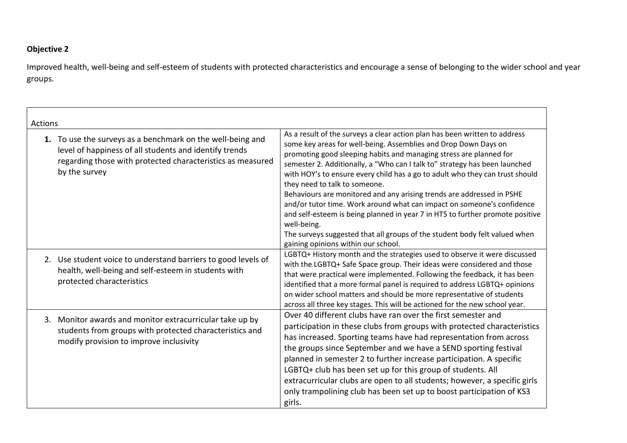## **Objective 2**

Improved health, well-being and self-esteem of students with protected characteristics and encourage a sense of belonging to the wider school and year groups.

| <b>Actions</b>                                                                                                                                                                                      |                                                                                                                                                                                                                                                                                                                                                                                                                                                                                                                                                                                                                                                                                                                                                                                            |
|-----------------------------------------------------------------------------------------------------------------------------------------------------------------------------------------------------|--------------------------------------------------------------------------------------------------------------------------------------------------------------------------------------------------------------------------------------------------------------------------------------------------------------------------------------------------------------------------------------------------------------------------------------------------------------------------------------------------------------------------------------------------------------------------------------------------------------------------------------------------------------------------------------------------------------------------------------------------------------------------------------------|
| 1. To use the surveys as a benchmark on the well-being and<br>level of happiness of all students and identify trends<br>regarding those with protected characteristics as measured<br>by the survey | As a result of the surveys a clear action plan has been written to address<br>some key areas for well-being. Assemblies and Drop Down Days on<br>promoting good sleeping habits and managing stress are planned for<br>semester 2. Additionally, a "Who can I talk to" strategy has been launched<br>with HOY's to ensure every child has a go to adult who they can trust should<br>they need to talk to someone.<br>Behaviours are monitored and any arising trends are addressed in PSHE<br>and/or tutor time. Work around what can impact on someone's confidence<br>and self-esteem is being planned in year 7 in HT5 to further promote positive<br>well-being.<br>The surveys suggested that all groups of the student body felt valued when<br>gaining opinions within our school. |
| 2. Use student voice to understand barriers to good levels of<br>health, well-being and self-esteem in students with<br>protected characteristics                                                   | LGBTQ+ History month and the strategies used to observe it were discussed<br>with the LGBTQ+ Safe Space group. Their ideas were considered and those<br>that were practical were implemented. Following the feedback, it has been<br>identified that a more formal panel is required to address LGBTQ+ opinions<br>on wider school matters and should be more representative of students<br>across all three key stages. This will be actioned for the new school year.                                                                                                                                                                                                                                                                                                                    |
| 3. Monitor awards and monitor extracurricular take up by<br>students from groups with protected characteristics and<br>modify provision to improve inclusivity                                      | Over 40 different clubs have ran over the first semester and<br>participation in these clubs from groups with protected characteristics<br>has increased. Sporting teams have had representation from across<br>the groups since September and we have a SEND sporting festival<br>planned in semester 2 to further increase participation. A specific<br>LGBTQ+ club has been set up for this group of students. All<br>extracurricular clubs are open to all students; however, a specific girls<br>only trampolining club has been set up to boost participation of KS3<br>girls.                                                                                                                                                                                                       |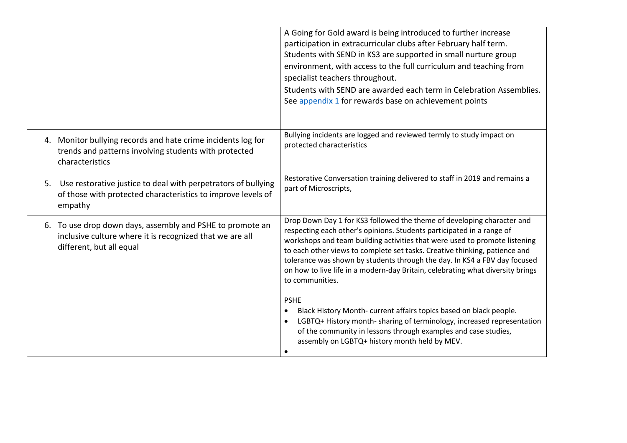|                                                                                                                                                   | A Going for Gold award is being introduced to further increase<br>participation in extracurricular clubs after February half term.<br>Students with SEND in KS3 are supported in small nurture group<br>environment, with access to the full curriculum and teaching from<br>specialist teachers throughout.<br>Students with SEND are awarded each term in Celebration Assemblies.<br>See appendix 1 for rewards base on achievement points                                                                                                                                                                                                                                                                                                                                  |
|---------------------------------------------------------------------------------------------------------------------------------------------------|-------------------------------------------------------------------------------------------------------------------------------------------------------------------------------------------------------------------------------------------------------------------------------------------------------------------------------------------------------------------------------------------------------------------------------------------------------------------------------------------------------------------------------------------------------------------------------------------------------------------------------------------------------------------------------------------------------------------------------------------------------------------------------|
| 4. Monitor bullying records and hate crime incidents log for<br>trends and patterns involving students with protected<br>characteristics          | Bullying incidents are logged and reviewed termly to study impact on<br>protected characteristics                                                                                                                                                                                                                                                                                                                                                                                                                                                                                                                                                                                                                                                                             |
| Use restorative justice to deal with perpetrators of bullying<br>5.<br>of those with protected characteristics to improve levels of<br>empathy    | Restorative Conversation training delivered to staff in 2019 and remains a<br>part of Microscripts,                                                                                                                                                                                                                                                                                                                                                                                                                                                                                                                                                                                                                                                                           |
| 6. To use drop down days, assembly and PSHE to promote an<br>inclusive culture where it is recognized that we are all<br>different, but all equal | Drop Down Day 1 for KS3 followed the theme of developing character and<br>respecting each other's opinions. Students participated in a range of<br>workshops and team building activities that were used to promote listening<br>to each other views to complete set tasks. Creative thinking, patience and<br>tolerance was shown by students through the day. In KS4 a FBV day focused<br>on how to live life in a modern-day Britain, celebrating what diversity brings<br>to communities.<br><b>PSHE</b><br>Black History Month-current affairs topics based on black people.<br>LGBTQ+ History month-sharing of terminology, increased representation<br>of the community in lessons through examples and case studies,<br>assembly on LGBTQ+ history month held by MEV. |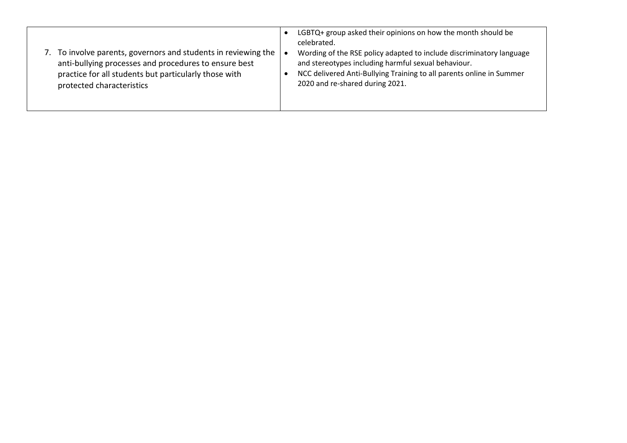| 7. To involve parents, governors and students in reviewing the<br>anti-bullying processes and procedures to ensure best<br>practice for all students but particularly those with<br>protected characteristics | LGBTQ+ group asked their opinions on how the month should be<br>celebrated.<br>Wording of the RSE policy adapted to include discriminatory language<br>and stereotypes including harmful sexual behaviour.<br>NCC delivered Anti-Bullying Training to all parents online in Summer<br>2020 and re-shared during 2021. |
|---------------------------------------------------------------------------------------------------------------------------------------------------------------------------------------------------------------|-----------------------------------------------------------------------------------------------------------------------------------------------------------------------------------------------------------------------------------------------------------------------------------------------------------------------|
|---------------------------------------------------------------------------------------------------------------------------------------------------------------------------------------------------------------|-----------------------------------------------------------------------------------------------------------------------------------------------------------------------------------------------------------------------------------------------------------------------------------------------------------------------|